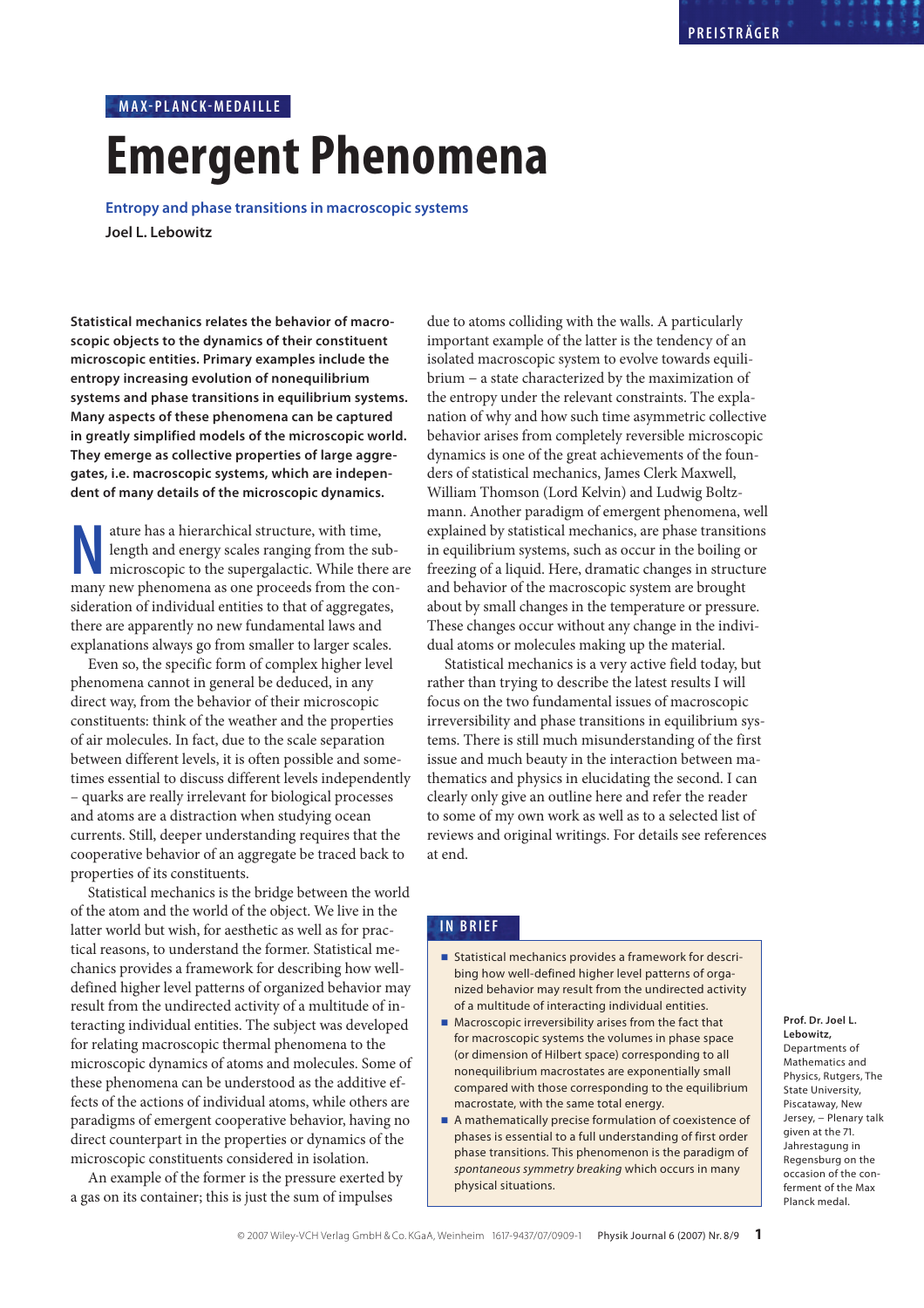# **Emergent Phenomena MAX-PL ANC K-MEDA ILLE**

**Entropy and phase transitions in macroscopic systems Joel L. Lebowitz**

**Statistical mechanics relates the behavior of macroscopic objects to the dynamics of their constituent microscopic entities. Primary examples include the entropy increasing evolution of nonequilibrium systems and phase transitions in equilibrium systems. Many aspects of these phenomena can be captured in greatly simplified models of the microscopic world. They emerge as collective properties of large aggregates, i.e. macroscopic systems, which are independent of many details of the microscopic dynamics.**

ature has a hierarchical structure, with time, length and energy scales ranging from the sub-<br>microscopic to the supergalactic. While there a<br>many new phenomena as one proceeds from the conature has a hierarchical structure, with time, length and energy scales ranging from the submicroscopic to the supergalactic. While there are sideration of individual entities to that of aggregates, there are apparently no new fundamental laws and explanations always go from smaller to larger scales.

Even so, the specific form of complex higher level phenomena cannot in general be deduced, in any direct way, from the behavior of their microscopic constituents: think of the weather and the properties of air molecules. In fact, due to the scale separation between different levels, it is often possible and sometimes essential to discuss different levels independently – quarks are really irrelevant for biological processes and atoms are a distraction when studying ocean currents. Still, deeper understanding requires that the cooperative behavior of an aggregate be traced back to properties of its constituents.

Statistical mechanics is the bridge between the world of the atom and the world of the object. We live in the latter world but wish, for aesthetic as well as for practical reasons, to understand the former. Statistical mechanics provides a framework for describing how welldefined higher level patterns of organized behavior may result from the undirected activity of a multitude of interacting individual entities. The subject was developed for relating macroscopic thermal phenomena to the microscopic dynamics of atoms and molecules. Some of these phenomena can be understood as the additive effects of the actions of individual atoms, while others are paradigms of emergent cooperative behavior, having no direct counterpart in the properties or dynamics of the microscopic constituents considered in isolation.

An example of the former is the pressure exerted by a gas on its container; this is just the sum of impulses

due to atoms colliding with the walls. A particularly important example of the latter is the tendency of an isolated macroscopic system to evolve towards equilibrium − a state characterized by the maximization of the entropy under the relevant constraints. The explanation of why and how such time asymmetric collective behavior arises from completely reversible microscopic dynamics is one of the great achievements of the founders of statistical mechanics, James Clerk Maxwell, William Thomson (Lord Kelvin) and Ludwig Boltzmann. Another paradigm of emergent phenomena, well explained by statistical mechanics, are phase transitions in equilibrium systems, such as occur in the boiling or freezing of a liquid. Here, dramatic changes in structure and behavior of the macroscopic system are brought about by small changes in the temperature or pressure. These changes occur without any change in the individual atoms or molecules making up the material.

Statistical mechanics is a very active field today, but rather than trying to describe the latest results I will focus on the two fundamental issues of macroscopic irreversibility and phase transitions in equilibrium systems. There is still much misunderstanding of the first issue and much beauty in the interaction between mathematics and physics in elucidating the second. I can clearly only give an outline here and refer the reader to some of my own work as well as to a selected list of reviews and original writings. For details see references at end.

## **IN BRIEF**

- Statistical mechanics provides a framework for describing how well-defined higher level patterns of organized behavior may result from the undirected activity of a multitude of interacting individual entities.
- Macroscopic irreversibility arises from the fact that for macroscopic systems the volumes in phase space (or dimension of Hilbert space) corresponding to all nonequilibrium macrostates are exponentially small compared with those corresponding to the equilibrium macrostate, with the same total energy.
- A mathematically precise formulation of coexistence of phases is essential to a full understanding of first order phase transitions. This phenomenon is the paradigm of spontaneous symmetry breaking which occurs in many physical situations.

**Prof. Dr. Joel L. Lebowitz,** Departments of Mathematics and Physics, Rutgers, The State University, Piscataway, New Jersey, − Plenary talk given at the 71. Jahrestagung in Regensburg on the occasion of the conferment of the Max Planck medal.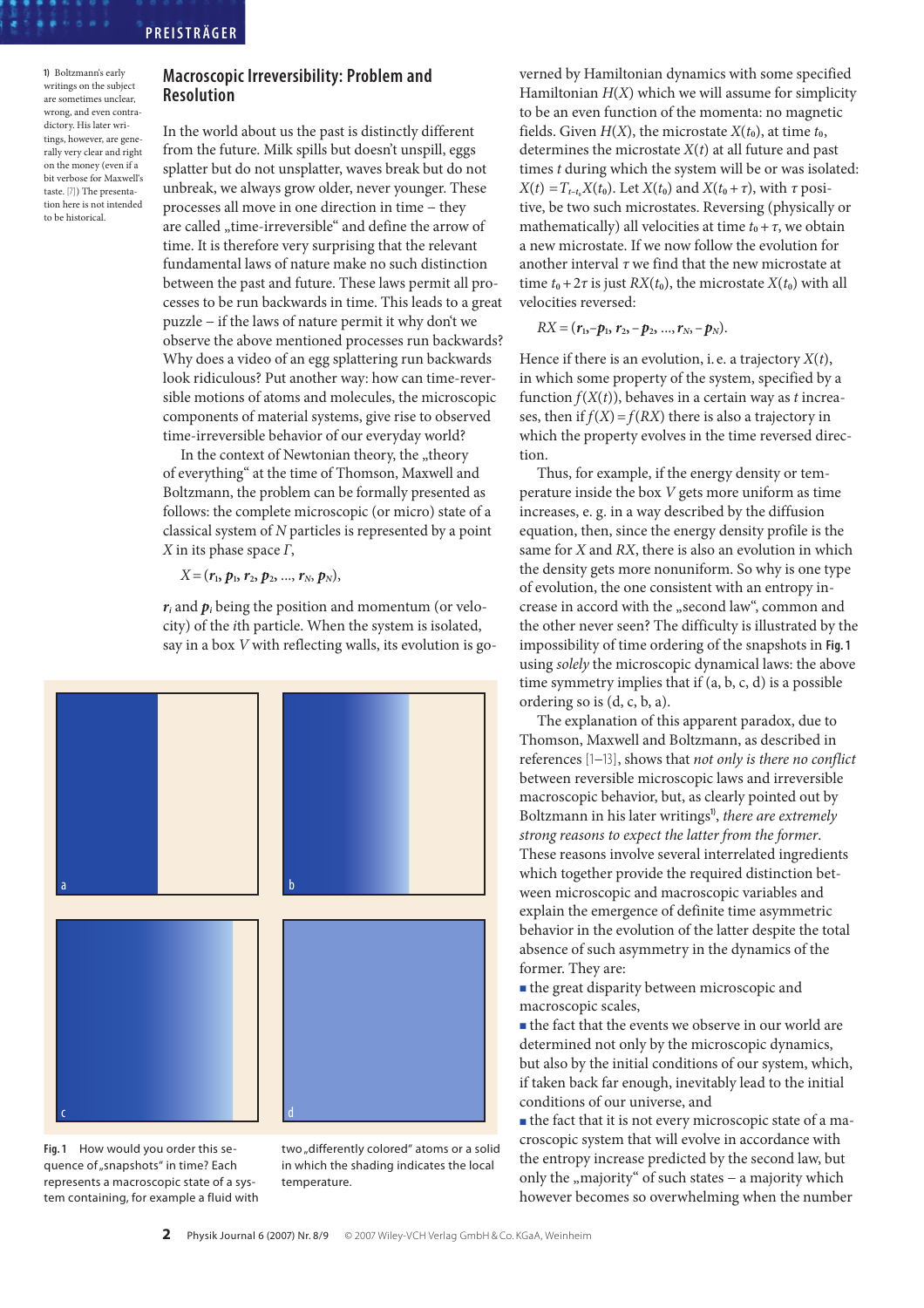## **PREIST RÄG E R**

**1)** Boltzmann's early writings on the subject are sometimes unclear, wrong, and even contradictory. His later writings, however, are generally very clear and right on the money (even if a bit verbose for Maxwell's taste. [7]) The presentation here is not intended to be historical.

# **Macroscopic Irreversibility: Problem and Resolution**

In the world about us the past is distinctly different from the future. Milk spills but doesn't unspill, eggs splatter but do not unsplatter, waves break but do not unbreak, we always grow older, never younger. These processes all move in one direction in time − they are called "time-irreversible" and define the arrow of time. It is therefore very surprising that the relevant fundamental laws of nature make no such distinction between the past and future. These laws permit all processes to be run backwards in time. This leads to a great puzzle − if the laws of nature permit it why don't we observe the above mentioned processes run backwards? Why does a video of an egg splattering run backwards look ridiculous? Put another way: how can time-reversible motions of atoms and molecules, the microscopic components of material systems, give rise to observed time-irreversible behavior of our everyday world?

In the context of Newtonian theory, the "theory of everything" at the time of Thomson, Maxwell and Boltzmann, the problem can be formally presented as follows: the complete microscopic (or micro) state of a classical system of N particles is represented by a point X in its phase space  $\Gamma$ ,

 $X = (r_1, p_1, r_2, p_2, ..., r_N, p_N),$ 

 $r_i$  and  $p_i$  being the position and momentum (or velocity) of the ith particle. When the system is isolated, say in a box V with reflecting walls, its evolution is go-



**Fig. 1** How would you order this sequence of "snapshots" in time? Each represents a macroscopic state of a system containing, for example a fluid with two "differently colored" atoms or a solid in which the shading indicates the local temperature.

verned by Hamiltonian dynamics with some specified Hamiltonian  $H(X)$  which we will assume for simplicity to be an even function of the momenta: no magnetic fields. Given  $H(X)$ , the microstate  $X(t_0)$ , at time  $t_0$ , determines the microstate  $X(t)$  at all future and past times t during which the system will be or was isolated:  $X(t) = T_{t-t_0}X(t_0)$ . Let  $X(t_0)$  and  $X(t_0+\tau)$ , with  $\tau$  positive, be two such microstates. Reversing (physically or mathematically) all velocities at time  $t_0 + \tau$ , we obtain a new microstate. If we now follow the evolution for another interval  $\tau$  we find that the new microstate at time  $t_0 + 2\tau$  is just  $RX(t_0)$ , the microstate  $X(t_0)$  with all velocities reversed:

$$
RX = (r_1,-p_1, r_2,-p_2, ..., r_N,-p_N).
$$

Hence if there is an evolution, i.e. a trajectory  $X(t)$ , in which some property of the system, specified by a function  $f(X(t))$ , behaves in a certain way as t increases, then if  $f(X) = f(RX)$  there is also a trajectory in which the property evolves in the time reversed direction.

Thus, for example, if the energy density or temperature inside the box V gets more uniform as time increases, e. g. in a way described by the diffusion equation, then, since the energy density profile is the same for *X* and *RX*, there is also an evolution in which the density gets more nonuniform. So why is one type of evolution, the one consistent with an entropy increase in accord with the "second law", common and the other never seen? The difficulty is illustrated by the impossibility of time ordering of the snapshots in **Fig. 1** using solely the microscopic dynamical laws: the above time symmetry implies that if (a, b, c, d) is a possible ordering so is (d, c, b, a).

The explanation of this apparent paradox, due to Thomson, Maxwell and Boltzmann, as described in references [1−13], shows that not only is there no conflict between reversible microscopic laws and irreversible macroscopic behavior, but, as clearly pointed out by Boltzmann in his later writings**1)** , there are extremely strong reasons to expect the latter from the former. These reasons involve several interrelated ingredients which together provide the required distinction between microscopic and macroscopic variables and explain the emergence of definite time asymmetric behavior in the evolution of the latter despite the total absence of such asymmetry in the dynamics of the former. They are:

■ the great disparity between microscopic and macroscopic scales,

■ the fact that the events we observe in our world are determined not only by the microscopic dynamics, but also by the initial conditions of our system, which, if taken back far enough, inevitably lead to the initial conditions of our universe, and

■ the fact that it is not every microscopic state of a macroscopic system that will evolve in accordance with the entropy increase predicted by the second law, but only the "majority" of such states - a majority which however becomes so overwhelming when the number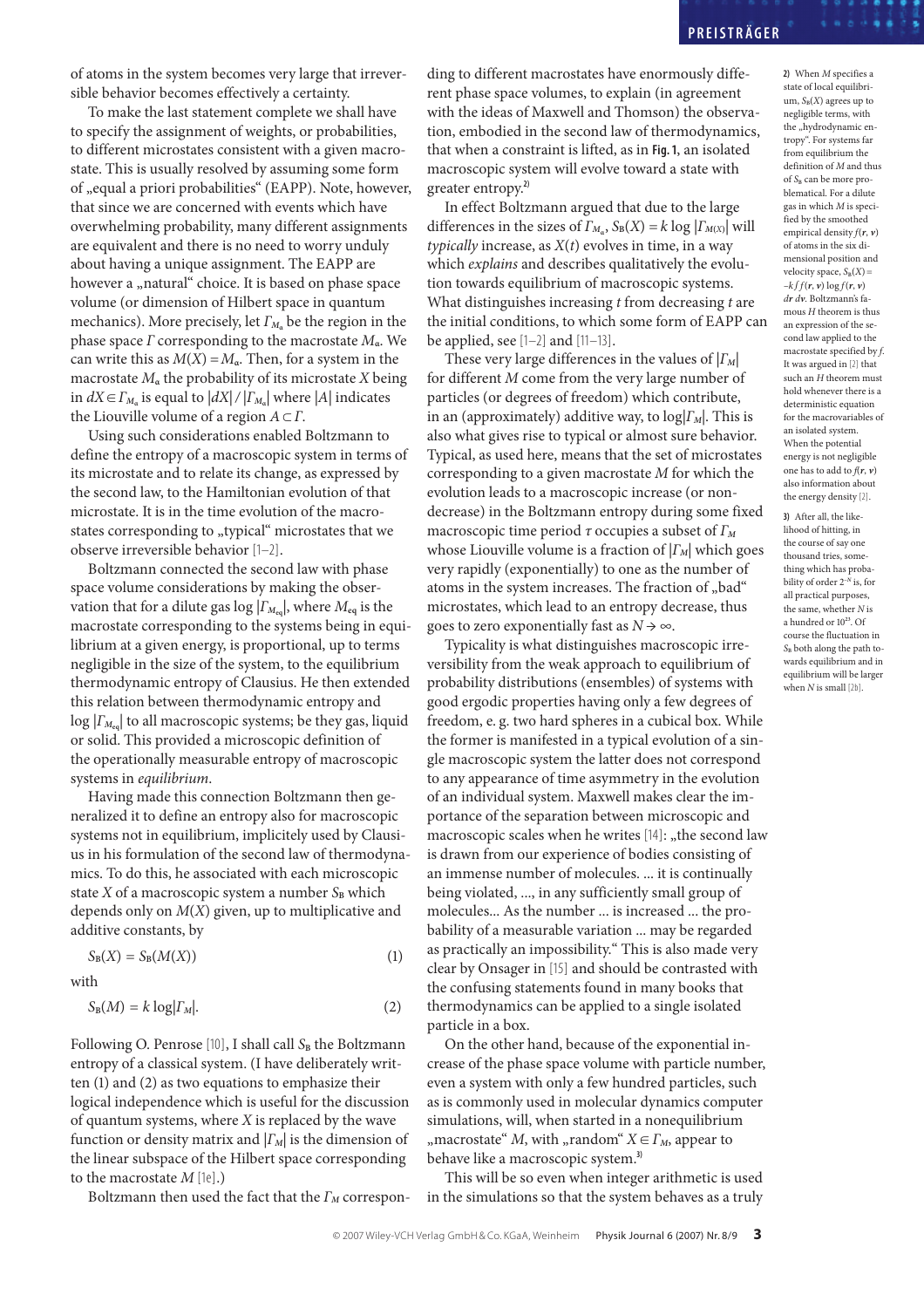# **PREIST RÄG E R**

of atoms in the system becomes very large that irreversible behavior becomes effectively a certainty.

To make the last statement complete we shall have to specify the assignment of weights, or probabilities, to different microstates consistent with a given macrostate. This is usually resolved by assuming some form of "equal a priori probabilities" (EAPP). Note, however, that since we are concerned with events which have overwhelming probability, many different assignments are equivalent and there is no need to worry unduly about having a unique assignment. The EAPP are however a "natural" choice. It is based on phase space volume (or dimension of Hilbert space in quantum mechanics). More precisely, let  $\Gamma_{M_{\alpha}}$  be the region in the phase space Γ corresponding to the macrostate M**α**. We can write this as  $M(X) = M_a$ . Then, for a system in the macrostate  $M_a$  the probability of its microstate X being in  $dX \in \Gamma_{M_\alpha}$  is equal to  $|dX| / |\Gamma_{M_\alpha}|$  where  $|A|$  indicates the Liouville volume of a region  $A \subset \Gamma$ .

Using such considerations enabled Boltzmann to define the entropy of a macroscopic system in terms of its microstate and to relate its change, as expressed by the second law, to the Hamiltonian evolution of that microstate. It is in the time evolution of the macrostates corresponding to "typical" microstates that we observe irreversible behavior [1–2].

Boltzmann connected the second law with phase space volume considerations by making the observation that for a dilute gas  $log |F_{M_{eq}}|$ , where  $M_{eq}$  is the macrostate corresponding to the systems being in equilibrium at a given energy, is proportional, up to terms negligible in the size of the system, to the equilibrium thermodynamic entropy of Clausius. He then extended this relation between thermodynamic entropy and log |Γ**<sup>M</sup>eq**| to all macroscopic systems; be they gas, liquid or solid. This provided a microscopic definition of the operationally measurable entropy of macroscopic systems in equilibrium.

Having made this connection Boltzmann then generalized it to define an entropy also for macroscopic systems not in equilibrium, implicitely used by Clausius in his formulation of the second law of thermodynamics. To do this, he associated with each microscopic state  $X$  of a macroscopic system a number  $S_B$  which depends only on  $M(X)$  given, up to multiplicative and additive constants, by

$$
S_B(X) = S_B(M(X))
$$
 (1)

with

$$
S_B(M) = k \log |\Gamma_M|.\tag{2}
$$

Following O. Penrose [10], I shall call S<sub>B</sub> the Boltzmann entropy of a classical system. (I have deliberately written (1) and (2) as two equations to emphasize their logical independence which is useful for the discussion of quantum systems, where  $X$  is replaced by the wave function or density matrix and  $|I_M|$  is the dimension of the linear subspace of the Hilbert space corresponding to the macrostate  $M$  [1e].)

Boltzmann then used the fact that the  $\Gamma_M$  correspon-

ding to different macrostates have enormously different phase space volumes, to explain (in agreement with the ideas of Maxwell and Thomson) the observation, embodied in the second law of thermodynamics, that when a constraint is lifted, as in **Fig. 1**, an isolated macroscopic system will evolve toward a state with greater entropy.**2)**

In effect Boltzmann argued that due to the large differences in the sizes of  $\Gamma_{M_\alpha}$ ,  $S_B(X) = k \log |\Gamma_{M(X)}|$  will typically increase, as  $X(t)$  evolves in time, in a way which explains and describes qualitatively the evolution towards equilibrium of macroscopic systems. What distinguishes increasing  $t$  from decreasing  $t$  are the initial conditions, to which some form of EAPP can be applied, see  $[1-2]$  and  $[11-13]$ .

These very large differences in the values of  $|T_M|$ for different M come from the very large number of particles (or degrees of freedom) which contribute, in an (approximately) additive way, to  $log|F_M|$ . This is also what gives rise to typical or almost sure behavior. Typical, as used here, means that the set of microstates corresponding to a given macrostate M for which the evolution leads to a macroscopic increase (or nondecrease) in the Boltzmann entropy during some fixed macroscopic time period  $\tau$  occupies a subset of  $\Gamma_M$ whose Liouville volume is a fraction of  $|Γ_M|$  which goes very rapidly (exponentially) to one as the number of atoms in the system increases. The fraction of "bad" microstates, which lead to an entropy decrease, thus goes to zero exponentially fast as  $N \rightarrow \infty$ .

Typicality is what distinguishes macroscopic irreversibility from the weak approach to equilibrium of probability distributions (ensembles) of systems with good ergodic properties having only a few degrees of freedom, e. g. two hard spheres in a cubical box. While the former is manifested in a typical evolution of a single macroscopic system the latter does not correspond to any appearance of time asymmetry in the evolution of an individual system. Maxwell makes clear the importance of the separation between microscopic and macroscopic scales when he writes  $[14]$ : "the second law is drawn from our experience of bodies consisting of an immense number of molecules. ... it is continually being violated, ..., in any sufficiently small group of molecules... As the number ... is increased ... the probability of a measurable variation ... may be regarded as practically an impossibility." This is also made very clear by Onsager in [15] and should be contrasted with the confusing statements found in many books that thermodynamics can be applied to a single isolated particle in a box.

On the other hand, because of the exponential increase of the phase space volume with particle number, even a system with only a few hundred particles, such as is commonly used in molecular dynamics computer simulations, will, when started in a nonequilibrium ", macrostate" M, with "random"  $X \in \Gamma_M$ , appear to behave like a macroscopic system. **3)**

This will be so even when integer arithmetic is used in the simulations so that the system behaves as a truly

**2)** When M specifies a state of local equilibrium,  $S_B(X)$  agrees up to negligible terms, with the "hydrodynamic entropy". For systems far from equilibrium the definition of M and thus of S<sub>B</sub> can be more problematical. For a dilute gas in which M is specified by the smoothed empirical density  $f(r, v)$ of atoms in the six dimensional position and velocity space,  $S_B(X)$  =  $-k$  $\int$  $f(\mathbf{r}, \mathbf{v}) \log f(\mathbf{r}, \mathbf{v})$ d**r** d**v**. Boltzmann's famous  $H$  theorem is thus an expression of the second law applied to the macrostate specified by  $f$ . It was argued in [2] that such an  $H$  theorem must hold whenever there is a deterministic equation for the macrovariables of an isolated system. When the potential energy is not negligible one has to add to  $f(r, v)$ also information about the energy density [2].

**3)** After all, the likelihood of hitting, in the course of say one thousand tries, something which has probability of order 2**–<sup>N</sup>** is, for all practical purposes, the same, whether  ${\cal N}$  is a hundred or  $10^{23}$ . Of course the fluctuation in S<sub>B</sub> both along the path towards equilibrium and in equilibrium will be larger when  $N$  is small  $[2b]$ .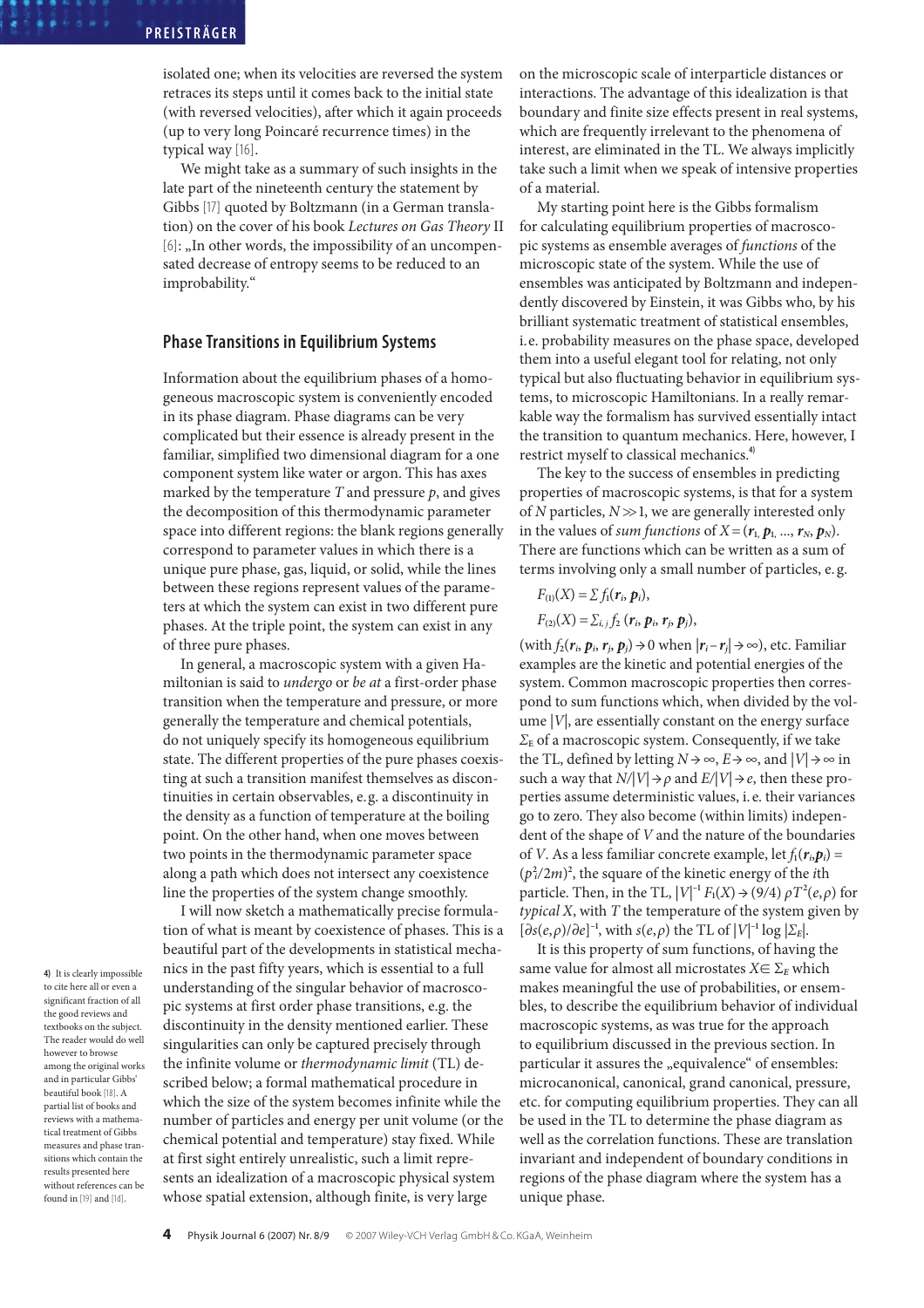isolated one; when its velocities are reversed the system retraces its steps until it comes back to the initial state (with reversed velocities), after which it again proceeds (up to very long Poincaré recurrence times) in the typical way [16].

We might take as a summary of such insights in the late part of the nineteenth century the statement by Gibbs [17] quoted by Boltzmann (in a German translation) on the cover of his book Lectures on Gas Theory II [6]: "In other words, the impossibility of an uncompensated decrease of entropy seems to be reduced to an improbability."

### **Phase Transitions in Equilibrium Systems**

Information about the equilibrium phases of a homogeneous macroscopic system is conveniently encoded in its phase diagram. Phase diagrams can be very complicated but their essence is already present in the familiar, simplified two dimensional diagram for a one component system like water or argon. This has axes marked by the temperature  $T$  and pressure  $p$ , and gives the decomposition of this thermodynamic parameter space into different regions: the blank regions generally correspond to parameter values in which there is a unique pure phase, gas, liquid, or solid, while the lines between these regions represent values of the parameters at which the system can exist in two different pure phases. At the triple point, the system can exist in any of three pure phases.

In general, a macroscopic system with a given Hamiltonian is said to undergo or be at a first-order phase transition when the temperature and pressure, or more generally the temperature and chemical potentials, do not uniquely specify its homogeneous equilibrium state. The different properties of the pure phases coexisting at such a transition manifest themselves as discontinuities in certain observables, e.g. a discontinuity in the density as a function of temperature at the boiling point. On the other hand, when one moves between two points in the thermodynamic parameter space along a path which does not intersect any coexistence line the properties of the system change smoothly.

**4)** It is clearly impossible to cite here all or even a significant fraction of all the good reviews and textbooks on the subject. The reader would do well however to browse among the original works and in particular Gibbs' beautiful book [18]. A partial list of books and reviews with a mathematical treatment of Gibbs measures and phase transitions which contain the results presented here without references can be found in [19] and [1d].

I will now sketch a mathematically precise formulation of what is meant by coexistence of phases. This is a beautiful part of the developments in statistical mechanics in the past fifty years, which is essential to a full understanding of the singular behavior of macroscopic systems at first order phase transitions, e.g. the discontinuity in the density mentioned earlier. These singularities can only be captured precisely through the infinite volume or thermodynamic limit (TL) described below; a formal mathematical procedure in which the size of the system becomes infinite while the number of particles and energy per unit volume (or the chemical potential and temperature) stay fixed. While at first sight entirely unrealistic, such a limit represents an idealization of a macroscopic physical system whose spatial extension, although finite, is very large

on the microscopic scale of interparticle distances or interactions. The advantage of this idealization is that boundary and finite size effects present in real systems, which are frequently irrelevant to the phenomena of interest, are eliminated in the TL. We always implicitly take such a limit when we speak of intensive properties of a material.

My starting point here is the Gibbs formalism for calculating equilibrium properties of macroscopic systems as ensemble averages of functions of the microscopic state of the system. While the use of ensembles was anticipated by Boltzmann and independently discovered by Einstein, it was Gibbs who, by his brilliant systematic treatment of statistical ensembles, i.e. probability measures on the phase space, developed them into a useful elegant tool for relating, not only typical but also fluctuating behavior in equilibrium systems, to microscopic Hamiltonians. In a really remarkable way the formalism has survived essentially intact the transition to quantum mechanics. Here, however, I restrict myself to classical mechanics.**4)**

The key to the success of ensembles in predicting properties of macroscopic systems, is that for a system of  $N$  particles,  $N \gg 1$ , we are generally interested only in the values of sum functions of  $X = (r_1, p_1, ..., r_N, p_N)$ . There are functions which can be written as a sum of terms involving only a small number of particles, e. g.

$$
F_{(1)}(X)=\sum f_1(\boldsymbol{r}_i,\boldsymbol{p}_i),
$$

 $F_{(2)}(X) = \sum_{i,j} f_2(r_i, p_i, r_j, p_j),$ 

(with  $f_2(r_i, p_i, r_i, p_i) \rightarrow 0$  when  $|r_i - r_j| \rightarrow \infty$ ), etc. Familiar examples are the kinetic and potential energies of the system. Common macroscopic properties then correspond to sum functions which, when divided by the volume  $|V|$ , are essentially constant on the energy surface  $\Sigma_{\rm E}$  of a macroscopic system. Consequently, if we take the TL, defined by letting  $N \rightarrow \infty$ ,  $E \rightarrow \infty$ , and  $|V| \rightarrow \infty$  in such a way that  $N/|V| \rightarrow \rho$  and  $E/|V| \rightarrow e$ , then these properties assume deterministic values, i. e. their variances go to zero. They also become (within limits) independent of the shape of V and the nature of the boundaries of V. As a less familiar concrete example, let  $f_1(r_i, p_i)$  =  $(p_i^2/2m)^2$ , the square of the kinetic energy of the *i*th particle. Then, in the TL,  $|V|^{-1} F_1(X) \rightarrow (9/4) \rho T^2(e,\rho)$  for typical  $X$ , with  $T$  the temperature of the system given by [∂s(e,ρ)/∂e] **–**, with s(e,ρ) the TL of |V|**–** log |Σ**E**|.

It is this property of sum functions, of having the same value for almost all microstates  $X \in \Sigma_E$  which makes meaningful the use of probabilities, or ensembles, to describe the equilibrium behavior of individual macroscopic systems, as was true for the approach to equilibrium discussed in the previous section. In particular it assures the "equivalence" of ensembles: microcanonical, canonical, grand canonical, pressure, etc. for computing equilibrium properties. They can all be used in the TL to determine the phase diagram as well as the correlation functions. These are translation invariant and independent of boundary conditions in regions of the phase diagram where the system has a unique phase.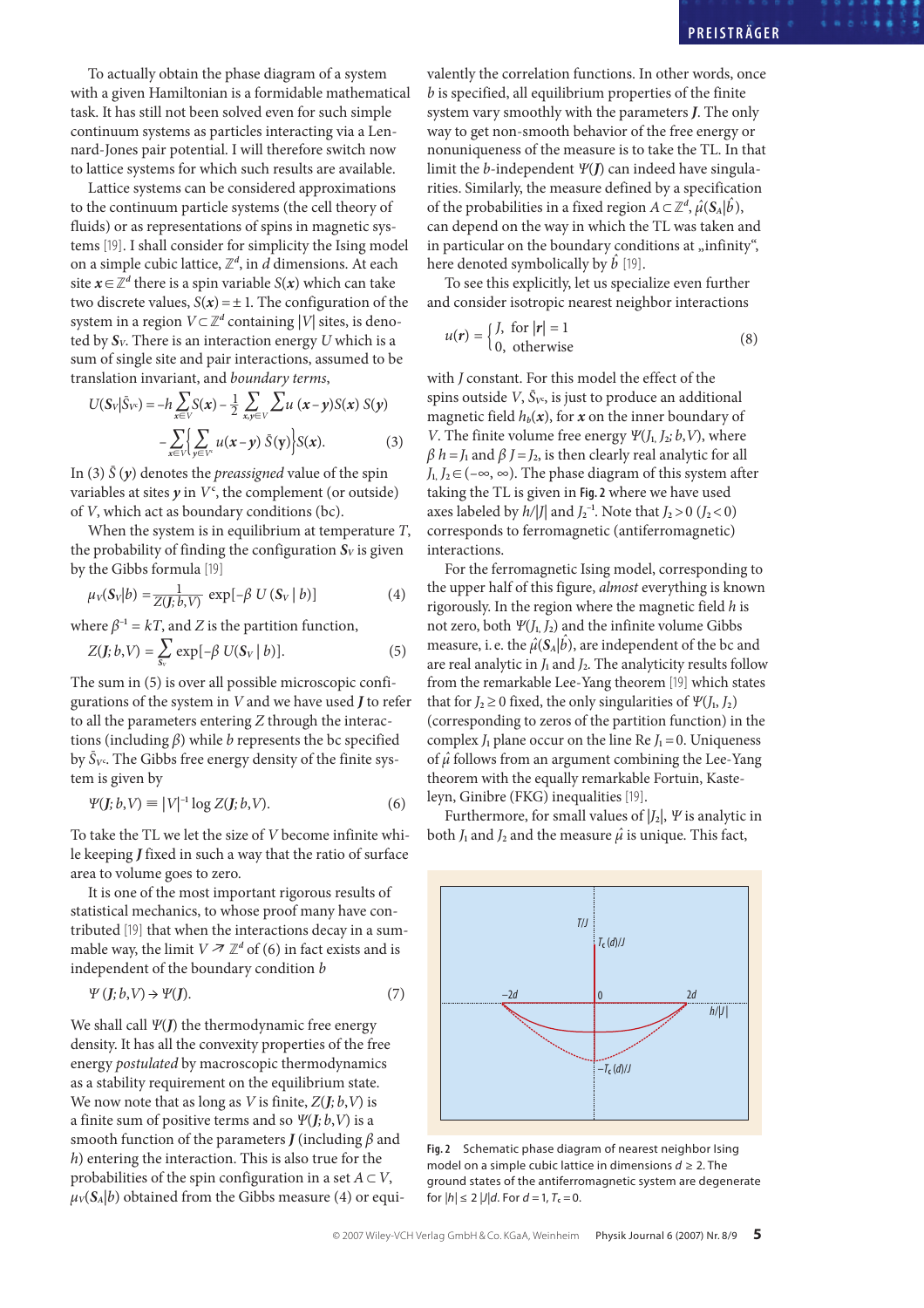To actually obtain the phase diagram of a system with a given Hamiltonian is a formidable mathematical task. It has still not been solved even for such simple continuum systems as particles interacting via a Lennard-Jones pair potential. I will therefore switch now to lattice systems for which such results are available.

Lattice systems can be considered approximations to the continuum particle systems (the cell theory of fluids) or as representations of spins in magnetic systems [19]. I shall consider for simplicity the Ising model on a simple cubic lattice,  $\mathbb{Z}^d$ , in  $d$  dimensions. At each site  $x \in \mathbb{Z}^d$  there is a spin variable  $S(x)$  which can take two discrete values,  $S(x) = \pm 1$ . The configuration of the system in a region  $V \subset \mathbb{Z}^d$  containing  $|V|$  sites, is denoted by  $S_V$ . There is an interaction energy U which is a sum of single site and pair interactions, assumed to be translation invariant, and boundary terms,

$$
U(S_V|\bar{S}_V) = -h \sum_{x \in V} S(x) - \frac{1}{2} \sum_{x,y \in V} \sum u(x-y)S(x) S(y)
$$

$$
- \sum_{x \in V} \left\{ \sum_{y \in V^c} u(x-y) \bar{S}(y) \right\} S(x). \tag{3}
$$

In (3)  $\bar{S}(y)$  denotes the *preassigned* value of the spin variables at sites  $y$  in  $V^c$ , the complement (or outside) of V, which act as boundary conditions (bc).

When the system is in equilibrium at temperature T, the probability of finding the configuration  $S_V$  is given by the Gibbs formula [19]

$$
\mu_V(\mathbf{S}_V|b) = \frac{1}{Z(J; b, V)} \exp[-\beta U(\mathbf{S}_V|b)] \tag{4}
$$

where  $\beta^{-1} = kT$ , and Z is the partition function,

$$
Z(\mathbf{J};b,V) = \sum_{\mathbf{S}_V} \exp[-\beta \ U(\mathbf{S}_V \mid b)]. \tag{5}
$$

The sum in (5) is over all possible microscopic configurations of the system in V and we have used **J** to refer to all the parameters entering Z through the interactions (including  $\beta$ ) while *b* represents the bc specified by  $\bar{S}_{V}$ <sup>c</sup>. The Gibbs free energy density of the finite system is given by

$$
\Psi(\mathbf{J};b,V) \equiv |V|^{-1} \log Z(\mathbf{J};b,V). \tag{6}
$$

To take the TL we let the size of V become infinite while keeping **J** fixed in such a way that the ratio of surface area to volume goes to zero.

It is one of the most important rigorous results of statistical mechanics, to whose proof many have contributed [19] that when the interactions decay in a summable way, the limit  $V \nightharpoondown \mathbb{Z}^d$  of (6) in fact exists and is independent of the boundary condition b

$$
\Psi\left(\mathbf{J};b,\mathbf{V}\right)\to\Psi(\mathbf{J}).\tag{7}
$$

We shall call Ψ(**J**) the thermodynamic free energy density. It has all the convexity properties of the free energy postulated by macroscopic thermodynamics as a stability requirement on the equilibrium state. We now note that as long as V is finite,  $Z(J; b, V)$  is a finite sum of positive terms and so  $\Psi(\mathbf{J};b,\mathbf{V})$  is a smooth function of the parameters  $J$  (including  $\beta$  and  $h$ ) entering the interaction. This is also true for the probabilities of the spin configuration in a set  $A \subset V$ ,  $\mu_V(S_A|b)$  obtained from the Gibbs measure (4) or equivalently the correlation functions. In other words, once  $b$  is specified, all equilibrium properties of the finite system vary smoothly with the parameters **J**. The only way to get non-smooth behavior of the free energy or nonuniqueness of the measure is to take the TL. In that limit the b-independent Ψ(**J**) can indeed have singularities. Similarly, the measure defined by a specification of the probabilities in a fixed region  $A \subset \mathbb{Z}^d$ ,  $\hat{\mu}(S_A|\hat{b})$ , can depend on the way in which the TL was taken and in particular on the boundary conditions at "infinity", here denoted symbolically by  $\vec{b}$  [19].

To see this explicitly, let us specialize even further and consider isotropic nearest neighbor interactions

$$
u(r) = \begin{cases} J, & \text{for } |r| = 1 \\ 0, & \text{otherwise} \end{cases}
$$
 (8)

with *J* constant. For this model the effect of the spins outside  $V$ ,  $\bar{S}_{V}$ , is just to produce an additional magnetic field  $h_b(x)$ , for **x** on the inner boundary of V. The finite volume free energy  $\Psi(I_1, I_2; b, V)$ , where  $\beta$  h = J<sub>1</sub> and  $\beta$  J = J<sub>2</sub>, is then clearly real analytic for all  $J_1, J_2 \in (-\infty, \infty)$ . The phase diagram of this system after taking the TL is given in **Fig. 2** where we have used axes labeled by  $h/|J|$  and  $J_2^{-1}$ . Note that  $J_2 > 0$   $(J_2 < 0)$ corresponds to ferromagnetic (antiferromagnetic) interactions.

For the ferromagnetic Ising model, corresponding to the upper half of this figure, almost everything is known rigorously. In the region where the magnetic field  $h$  is not zero, both  $\Psi(J_1, J_2)$  and the infinite volume Gibbs measure, i.e. the  $\hat{\mu}(S_A|\hat{b})$ , are independent of the bc and are real analytic in  $J_1$  and  $J_2$ . The analyticity results follow from the remarkable Lee-Yang theorem [19] which states that for  $J_2 \ge 0$  fixed, the only singularities of  $\Psi(J_1, J_2)$ (corresponding to zeros of the partition function) in the complex  $J_1$  plane occur on the line Re  $J_1 = 0$ . Uniqueness of  $\hat{\mu}$  follows from an argument combining the Lee-Yang theorem with the equally remarkable Fortuin, Kasteleyn, Ginibre (FKG) inequalities [19].

Furthermore, for small values of  $|J_2|$ ,  $\Psi$  is analytic in both  $J_1$  and  $J_2$  and the measure  $\hat{\mu}$  is unique. This fact,



**Fig. 2** Schematic phase diagram of nearest neighbor Ising model on a simple cubic lattice in dimensions  $d \geq 2$ . The ground states of the antiferromagnetic system are degenerate for  $|h| \le 2 |J|d$ . For  $d = 1, T_c = 0$ .